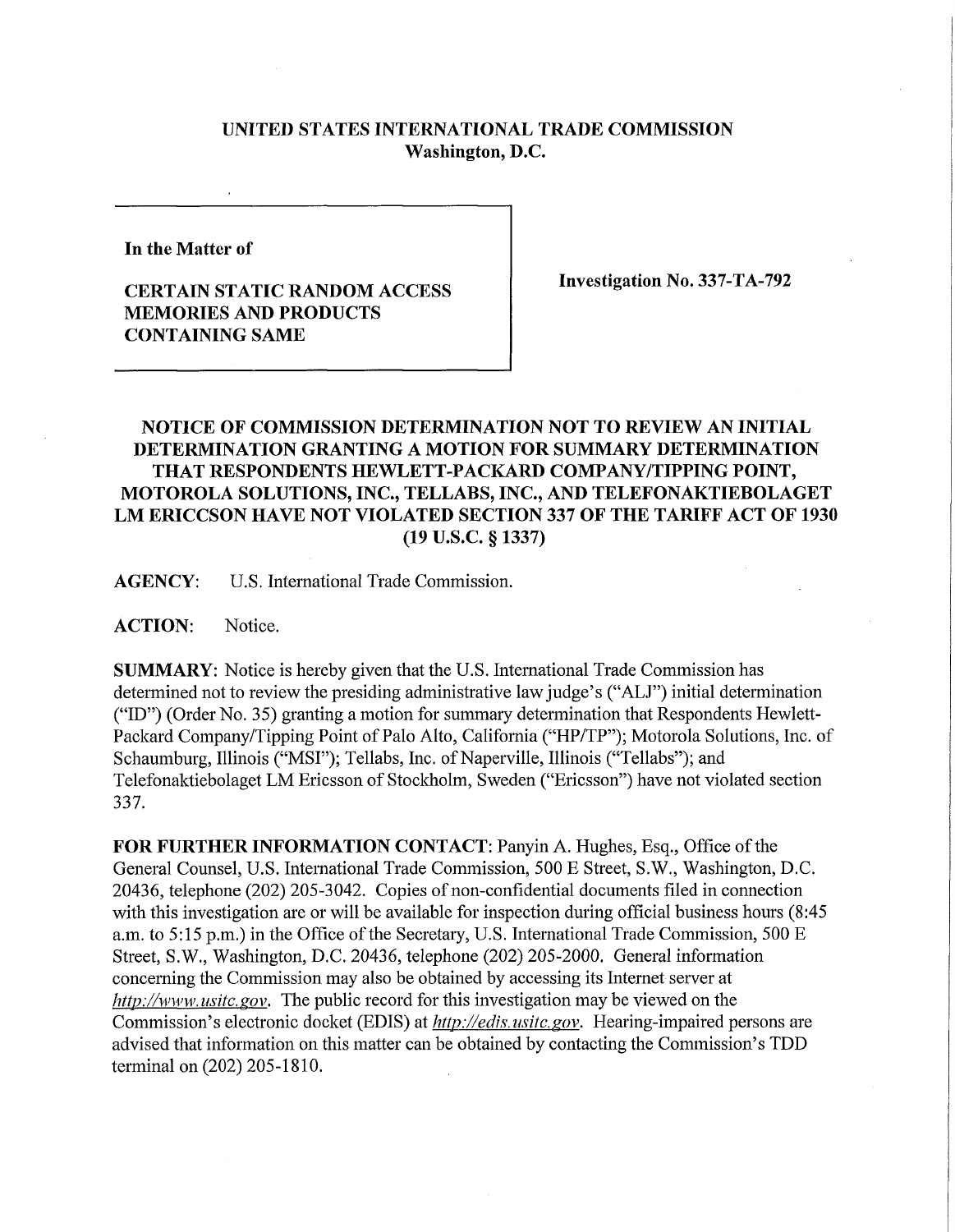## **UNITED STATES INTERNATIONAL TRADE COMMISSION Washington, D.C.**

**In the Matter of** 

## **CERTAIN STATIC RANDOM ACCESS MEMORIES AND PRODUCTS CONTAINING SAME**

**Investigation No. 337-TA-792** 

## **NOTICE OF COMMISSION DETERMINATION NOT TO REVIEW AN INITIAL DETERMINATION GRANTING A MOTION FOR SUMMARY DETERMINATION THAT RESPONDENTS HEWLETT-PACKARD COMPANY/TIPPING POINT, MOTOROLA SOLUTIONS, INC., TELLABS, INC., AND TELEFONAKTIEBOLAGET**  LM ERICCSON HAVE NOT VIOLATED SECTION 337 OF THE TARIFF ACT OF 1930 **(19 U.S.C. § 1337)**

**AGENCY:** U.S. International Trade Commission.

**ACTION:** Notice.

**SUMMARY:** Notice is hereby given that the U.S. International Trade Commission has determined not to review the presiding administrative law judge's ("ALJ") initial determination ("ID") (Order No. 35) granting a motion for summary determination that Respondents Hewlett-Packard Company/Tipping Point of Palo Alto, California ("HP/TP"); Motorola Solutions, Inc. of Schaumburg, Illinois ("MSI"); Tellabs, Inc. of Naperville, Illinois ("Tellabs"); and Telefonaktiebolaget LM Ericsson of Stockholm, Sweden ("Ericsson") have not violated section 337.

**FOR FURTHER INFORMATION CONTACT:** Panyin A. Hughes, Esq., Office of the General Counsel, U.S. International Trade Commission, 500 E Street, S.W., Washington, D.C. 20436, telephone (202) 205-3042. Copies of non-confidential documents filed in connection with this investigation are or will be available for inspection during official business hours (8:45 a.m. to 5:15 p.m.) in the Office of the Secretary, U.S. International Trade Commission, 500 E Street, S.W., Washington, D.C. 20436, telephone (202) 205-2000. General information concerning the Commission may also be obtained by accessing its Internet server at *http://www.usitc.gov.* The public record for this investigation may be viewed on the Commission's electronic docket (EDIS) at *http://edis. usitc.gov.* Hearing-impaired persons are advised that information on this matter can be obtained by contacting the Commission's TDD terminal on (202) 205-1810.